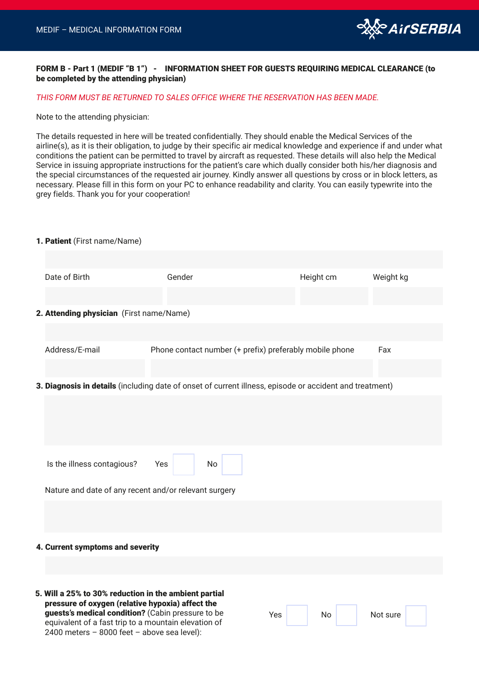

### FORM B - Part 1 (MEDIF "B 1") - INFORMATION SHEET FOR GUESTS REQUIRING MEDICAL CLEARANCE (to be completed by the attending physician)

#### *THIS FORM MUST BE RETURNED TO SALES OFFICE WHERE THE RESERVATION HAS BEEN MADE.*

Note to the attending physician:

The details requested in here will be treated confidentially. They should enable the Medical Services of the airline(s), as it is their obligation, to judge by their specific air medical knowledge and experience if and under what conditions the patient can be permitted to travel by aircraft as requested. These details will also help the Medical Service in issuing appropriate instructions for the patient's care which dually consider both his/her diagnosis and the special circumstances of the requested air journey. Kindly answer all questions by cross or in block letters, as necessary. Please fill in this form on your PC to enhance readability and clarity. You can easily typewrite into the grey fields. Thank you for your cooperation!

#### 1. Patient (First name/Name)

|                                                                                                         | Date of Birth                                                                                                                                                  | Gender                                                  |    | Height cm | Weight kg |  |  |  |  |
|---------------------------------------------------------------------------------------------------------|----------------------------------------------------------------------------------------------------------------------------------------------------------------|---------------------------------------------------------|----|-----------|-----------|--|--|--|--|
|                                                                                                         |                                                                                                                                                                |                                                         |    |           |           |  |  |  |  |
|                                                                                                         | 2. Attending physician (First name/Name)                                                                                                                       |                                                         |    |           |           |  |  |  |  |
|                                                                                                         |                                                                                                                                                                |                                                         |    |           |           |  |  |  |  |
|                                                                                                         | Address/E-mail                                                                                                                                                 | Phone contact number (+ prefix) preferably mobile phone |    |           | Fax       |  |  |  |  |
|                                                                                                         |                                                                                                                                                                |                                                         |    |           |           |  |  |  |  |
| 3. Diagnosis in details (including date of onset of current illness, episode or accident and treatment) |                                                                                                                                                                |                                                         |    |           |           |  |  |  |  |
|                                                                                                         |                                                                                                                                                                |                                                         |    |           |           |  |  |  |  |
|                                                                                                         |                                                                                                                                                                |                                                         |    |           |           |  |  |  |  |
|                                                                                                         |                                                                                                                                                                |                                                         |    |           |           |  |  |  |  |
|                                                                                                         | Is the illness contagious?                                                                                                                                     | Yes<br>No                                               |    |           |           |  |  |  |  |
|                                                                                                         | Nature and date of any recent and/or relevant surgery                                                                                                          |                                                         |    |           |           |  |  |  |  |
|                                                                                                         |                                                                                                                                                                |                                                         |    |           |           |  |  |  |  |
|                                                                                                         |                                                                                                                                                                |                                                         |    |           |           |  |  |  |  |
|                                                                                                         | 4. Current symptoms and severity                                                                                                                               |                                                         |    |           |           |  |  |  |  |
|                                                                                                         |                                                                                                                                                                |                                                         |    |           |           |  |  |  |  |
|                                                                                                         |                                                                                                                                                                |                                                         |    |           |           |  |  |  |  |
|                                                                                                         | 5. Will a 25% to 30% reduction in the ambient partial<br>pressure of oxygen (relative hypoxia) affect the<br>guests's medical condition? (Cabin pressure to be | Yes                                                     | No | Not sure  |           |  |  |  |  |
|                                                                                                         | equivalent of a fast trip to a mountain elevation of<br>2400 meters - 8000 feet - above sea level):                                                            |                                                         |    |           |           |  |  |  |  |
|                                                                                                         |                                                                                                                                                                |                                                         |    |           |           |  |  |  |  |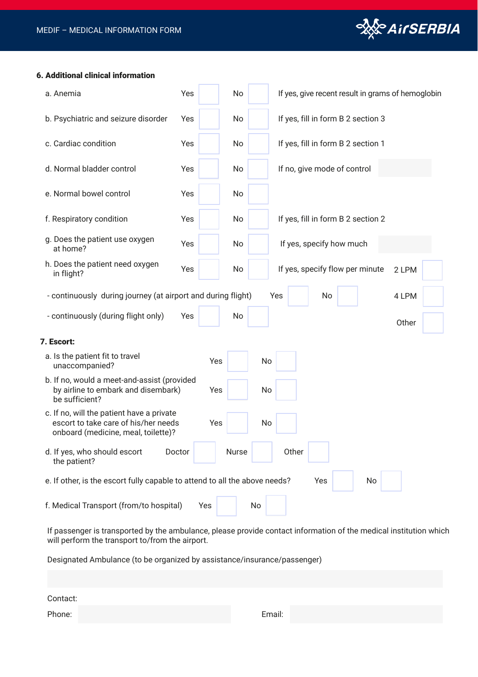

### 6. Additional clinical information

| a. Anemia                                                                                                                | Yes    | No    |     |                                    | If yes, give recent result in grams of hemoglobin |       |  |
|--------------------------------------------------------------------------------------------------------------------------|--------|-------|-----|------------------------------------|---------------------------------------------------|-------|--|
| b. Psychiatric and seizure disorder                                                                                      | Yes    | No    |     | If yes, fill in form B 2 section 3 |                                                   |       |  |
| c. Cardiac condition                                                                                                     | Yes    | No    |     | If yes, fill in form B 2 section 1 |                                                   |       |  |
| d. Normal bladder control                                                                                                | Yes    | No    |     | If no, give mode of control        |                                                   |       |  |
| e. Normal bowel control                                                                                                  | Yes    | No    |     |                                    |                                                   |       |  |
| f. Respiratory condition                                                                                                 | Yes    | No    |     | If yes, fill in form B 2 section 2 |                                                   |       |  |
| g. Does the patient use oxygen<br>at home?                                                                               | Yes    | No    |     | If yes, specify how much           |                                                   |       |  |
| h. Does the patient need oxygen<br>in flight?                                                                            | Yes    | No    |     | If yes, specify flow per minute    |                                                   | 2 LPM |  |
| - continuously during journey (at airport and during flight)                                                             |        |       | Yes | No                                 |                                                   | 4 LPM |  |
| - continuously (during flight only)                                                                                      | Yes    | No    |     |                                    |                                                   | Other |  |
| 7. Escort:                                                                                                               |        |       |     |                                    |                                                   |       |  |
| a. Is the patient fit to travel<br>unaccompanied?                                                                        |        | Yes   | No  |                                    |                                                   |       |  |
| b. If no, would a meet-and-assist (provided<br>by airline to embark and disembark)<br>be sufficient?                     |        | Yes   | No  |                                    |                                                   |       |  |
| c. If no, will the patient have a private<br>escort to take care of his/her needs<br>onboard (medicine, meal, toilette)? |        | Yes   | No  |                                    |                                                   |       |  |
| d. If yes, who should escort<br>the patient?                                                                             | Doctor | Nurse |     | Other                              |                                                   |       |  |
| e. If other, is the escort fully capable to attend to all the above needs?                                               |        |       |     | Yes                                | No                                                |       |  |
| f. Medical Transport (from/to hospital)                                                                                  |        | Yes   | No  |                                    |                                                   |       |  |

If passenger is transported by the ambulance, please provide contact information of the medical institution which will perform the transport to/from the airport.

Designated Ambulance (to be organized by assistance/insurance/passenger)

Contact:

Phone: Email: Email: Email: Email: Email: Email: Email: Email: Email: Email: Email: Email: Email: Email: Email: Email: Email: Email: Email: Email: Email: Email: Email: Email: Email: Email: Email: Email: Email: Email: Email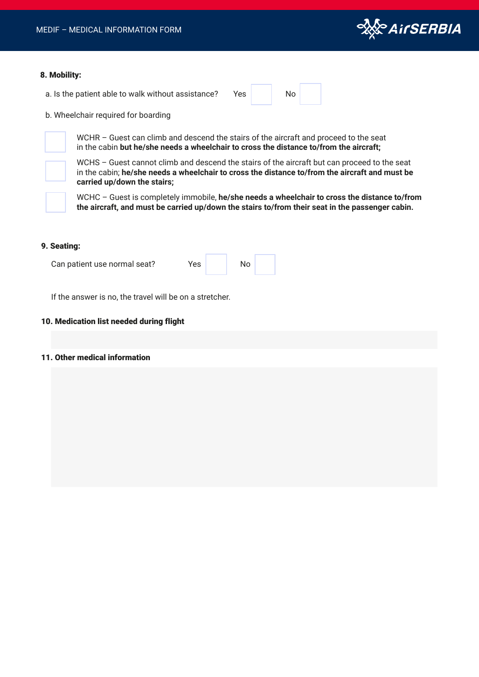

#### 8. Mobility:

a. Is the patient able to walk without assistance? Yes No

b. Wheelchair required for boarding

WCHR – Guest can climb and descend the stairs of the aircraft and proceed to the seat in the cabin **but he/she needs a wheelchair to cross the distance to/from the aircraft;**

WCHS – Guest cannot climb and descend the stairs of the aircraft but can proceed to the seat in the cabin; **he/she needs a wheelchair to cross the distance to/from the aircraft and must be carried up/down the stairs;**

WCHC – Guest is completely immobile, **he/she needs a wheelchair to cross the distance to/from the aircraft, and must be carried up/down the stairs to/from their seat in the passenger cabin.**

#### 9. Seating:

Yes No Can patient use normal seat?

If the answer is no, the travel will be on a stretcher.

#### 10. Medication list needed during flight

## 11. Other medical information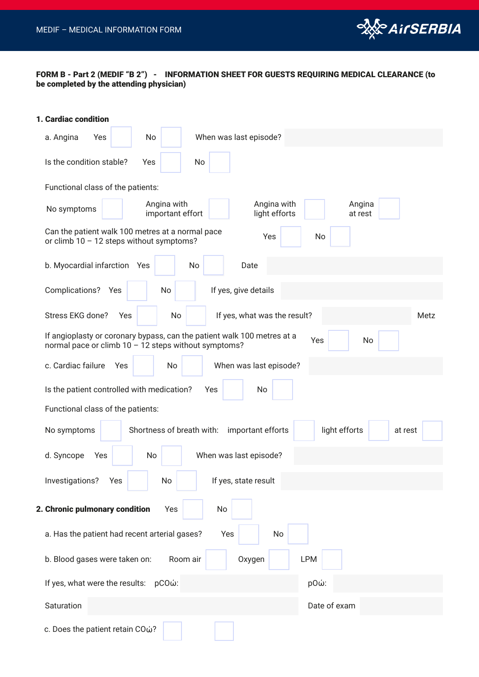

# FORM B - Part 2 (MEDIF "B 2") - INFORMATION SHEET FOR GUESTS REQUIRING MEDICAL CLEARANCE (to be completed by the attending physician)

| 1. Cardiac condition                                                                                                                         |  |  |  |  |  |  |
|----------------------------------------------------------------------------------------------------------------------------------------------|--|--|--|--|--|--|
| No<br>When was last episode?<br>a. Angina<br>Yes                                                                                             |  |  |  |  |  |  |
| Is the condition stable?<br>No<br>Yes                                                                                                        |  |  |  |  |  |  |
| Functional class of the patients:                                                                                                            |  |  |  |  |  |  |
| Angina with<br>Angina with<br>Angina<br>No symptoms<br>important effort<br>light efforts<br>at rest                                          |  |  |  |  |  |  |
| Can the patient walk 100 metres at a normal pace<br>Yes<br>No<br>or climb $10 - 12$ steps without symptoms?                                  |  |  |  |  |  |  |
| b. Myocardial infarction Yes<br>No<br>Date                                                                                                   |  |  |  |  |  |  |
| Complications? Yes<br>No<br>If yes, give details                                                                                             |  |  |  |  |  |  |
| Stress EKG done?<br>No<br>If yes, what was the result?<br>Yes<br>Metz                                                                        |  |  |  |  |  |  |
| If angioplasty or coronary bypass, can the patient walk 100 metres at a<br>Yes<br>No<br>normal pace or climb 10 - 12 steps without symptoms? |  |  |  |  |  |  |
| c. Cardiac failure<br>No<br>When was last episode?<br>Yes                                                                                    |  |  |  |  |  |  |
| Is the patient controlled with medication?<br>Yes<br>No                                                                                      |  |  |  |  |  |  |
| Functional class of the patients:                                                                                                            |  |  |  |  |  |  |
| light efforts<br>Shortness of breath with:<br>important efforts<br>No symptoms<br>at rest                                                    |  |  |  |  |  |  |
| When was last episode?<br>d. Syncope<br>No<br>Yes                                                                                            |  |  |  |  |  |  |
| If yes, state result<br>Investigations?<br>No<br>Yes                                                                                         |  |  |  |  |  |  |
| 2. Chronic pulmonary condition<br>Yes<br>No                                                                                                  |  |  |  |  |  |  |
| a. Has the patient had recent arterial gases?<br>Yes<br>No                                                                                   |  |  |  |  |  |  |
| <b>LPM</b><br>b. Blood gases were taken on:<br>Room air<br>Oxygen                                                                            |  |  |  |  |  |  |
| If yes, what were the results: pCOώ:<br>pΟώ:                                                                                                 |  |  |  |  |  |  |
| Saturation<br>Date of exam                                                                                                                   |  |  |  |  |  |  |
| c. Does the patient retain COώ?                                                                                                              |  |  |  |  |  |  |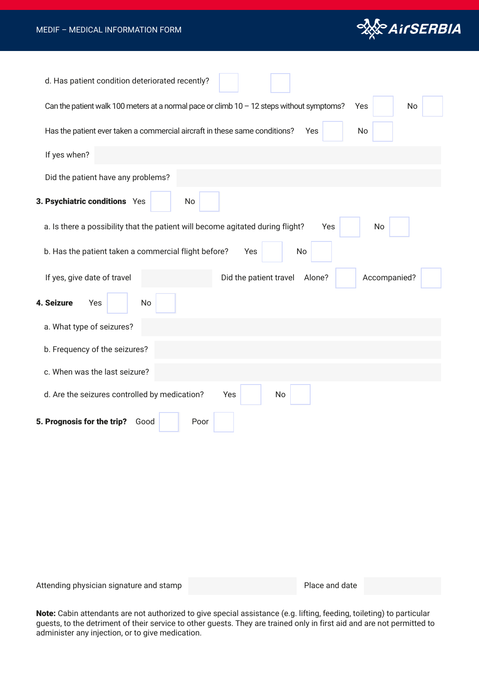

| d. Has patient condition deteriorated recently?                                                          |
|----------------------------------------------------------------------------------------------------------|
| Can the patient walk 100 meters at a normal pace or climb $10 - 12$ steps without symptoms?<br>No<br>Yes |
| Has the patient ever taken a commercial aircraft in these same conditions?<br>No<br>Yes                  |
| If yes when?                                                                                             |
| Did the patient have any problems?                                                                       |
| 3. Psychiatric conditions Yes<br>No                                                                      |
| a. Is there a possibility that the patient will become agitated during flight?<br>Yes<br>No              |
| b. Has the patient taken a commercial flight before?<br>Yes<br>No                                        |
| If yes, give date of travel<br>Did the patient travel<br>Alone?<br>Accompanied?                          |
| 4. Seizure<br>No<br>Yes                                                                                  |
| a. What type of seizures?                                                                                |
| b. Frequency of the seizures?                                                                            |
| c. When was the last seizure?                                                                            |
| d. Are the seizures controlled by medication?<br>Yes<br>No                                               |
| 5. Prognosis for the trip?<br>Poor<br>Good                                                               |

Attending physician signature and stamp **Place and date** Place and date

Note: Cabin attendants are not authorized to give special assistance (e.g. lifting, feeding, toileting) to particular guests, to the detriment of their service to other guests. They are trained only in first aid and are not permitted to administer any injection, or to give medication.